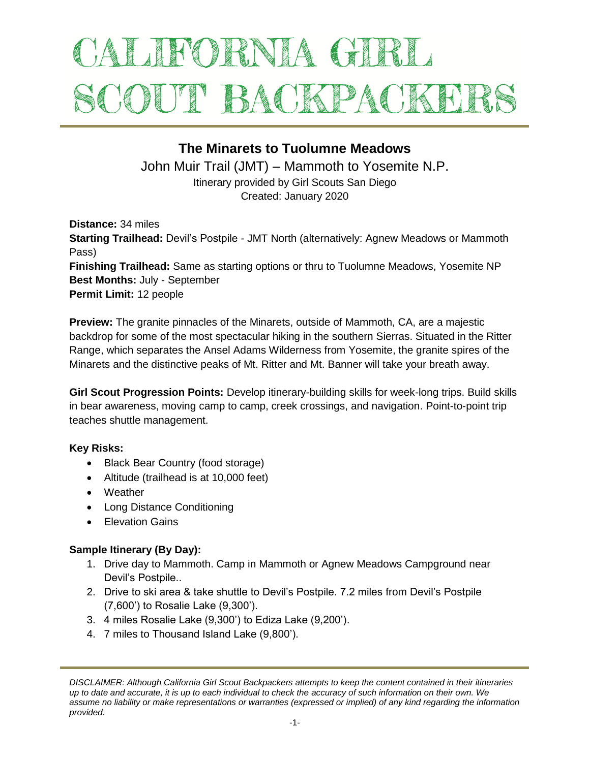# ALIFORNIA GIRL SCOUT BACKPACKET

## **The Minarets to Tuolumne Meadows**

John Muir Trail (JMT) – Mammoth to Yosemite N.P.

Itinerary provided by Girl Scouts San Diego Created: January 2020

**Distance:** 34 miles **Starting Trailhead:** Devil's Postpile - JMT North (alternatively: Agnew Meadows or Mammoth Pass) **Finishing Trailhead:** Same as starting options or thru to Tuolumne Meadows, Yosemite NP **Best Months:** July - September **Permit Limit:** 12 people

**Preview:** The granite pinnacles of the Minarets, outside of Mammoth, CA, are a majestic backdrop for some of the most spectacular hiking in the southern Sierras. Situated in the Ritter Range, which separates the Ansel Adams Wilderness from Yosemite, the granite spires of the Minarets and the distinctive peaks of Mt. Ritter and Mt. Banner will take your breath away.

**Girl Scout Progression Points:** Develop itinerary-building skills for week-long trips. Build skills in bear awareness, moving camp to camp, creek crossings, and navigation. Point-to-point trip teaches shuttle management.

#### **Key Risks:**

- Black Bear Country (food storage)
- Altitude (trailhead is at 10,000 feet)
- Weather
- Long Distance Conditioning
- **•** Flevation Gains

#### **Sample Itinerary (By Day):**

- 1. Drive day to Mammoth. Camp in Mammoth or Agnew Meadows Campground near Devil's Postpile..
- 2. Drive to ski area & take shuttle to Devil's Postpile. 7.2 miles from Devil's Postpile (7,600') to Rosalie Lake (9,300').
- 3. 4 miles Rosalie Lake (9,300') to Ediza Lake (9,200').
- 4. 7 miles to Thousand Island Lake (9,800').

*DISCLAIMER: Although California Girl Scout Backpackers attempts to keep the content contained in their itineraries up to date and accurate, it is up to each individual to check the accuracy of such information on their own. We assume no liability or make representations or warranties (expressed or implied) of any kind regarding the information provided.*